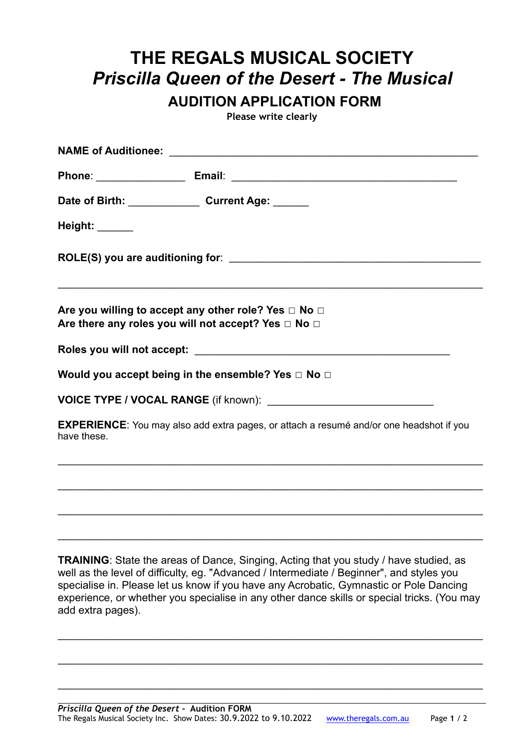## **THE REGALS MUSICAL SOCIETY**  *Priscilla Queen of the Desert - The Musical*

**AUDITION APPLICATION FORM** 

**Please write clearly** 

|                | Date of Birth: Current Age: Current Age:                                                                                                                                                                                                                                                                                                                                           |
|----------------|------------------------------------------------------------------------------------------------------------------------------------------------------------------------------------------------------------------------------------------------------------------------------------------------------------------------------------------------------------------------------------|
| Height: ______ |                                                                                                                                                                                                                                                                                                                                                                                    |
|                |                                                                                                                                                                                                                                                                                                                                                                                    |
|                | Are you willing to accept any other role? Yes $\Box$ No $\Box$<br>Are there any roles you will not accept? Yes $\Box$ No $\Box$                                                                                                                                                                                                                                                    |
|                |                                                                                                                                                                                                                                                                                                                                                                                    |
|                | Would you accept being in the ensemble? Yes $\Box$ No $\Box$                                                                                                                                                                                                                                                                                                                       |
|                |                                                                                                                                                                                                                                                                                                                                                                                    |
| have these.    | EXPERIENCE: You may also add extra pages, or attach a resumé and/or one headshot if you                                                                                                                                                                                                                                                                                            |
|                |                                                                                                                                                                                                                                                                                                                                                                                    |
|                |                                                                                                                                                                                                                                                                                                                                                                                    |
|                | <b>TRAINING:</b> State the areas of Dance, Singing, Acting that you study / have studied, as<br>well as the level of difficulty, eg. "Advanced / Intermediate / Beginner", and styles you<br>specialise in. Please let us know if you have any Acrobatic, Gymnastic or Pole Dancing<br>experience, or whether you specialise in any other dance skills or special tricks. (You may |

\_\_\_\_\_\_\_\_\_\_\_\_\_\_\_\_\_\_\_\_\_\_\_\_\_\_\_\_\_\_\_\_\_\_\_\_\_\_\_\_\_\_\_\_\_\_\_\_\_\_\_\_\_\_\_\_\_\_\_\_\_\_\_\_\_\_\_\_\_\_\_\_\_\_\_\_

\_\_\_\_\_\_\_\_\_\_\_\_\_\_\_\_\_\_\_\_\_\_\_\_\_\_\_\_\_\_\_\_\_\_\_\_\_\_\_\_\_\_\_\_\_\_\_\_\_\_\_\_\_\_\_\_\_\_\_\_\_\_\_\_\_\_\_\_\_\_\_\_\_\_\_\_

\_\_\_\_\_\_\_\_\_\_\_\_\_\_\_\_\_\_\_\_\_\_\_\_\_\_\_\_\_\_\_\_\_\_\_\_\_\_\_\_\_\_\_\_\_\_\_\_\_\_\_\_\_\_\_\_\_\_\_\_\_\_\_\_\_\_\_\_\_\_\_\_\_\_\_\_

add extra pages).